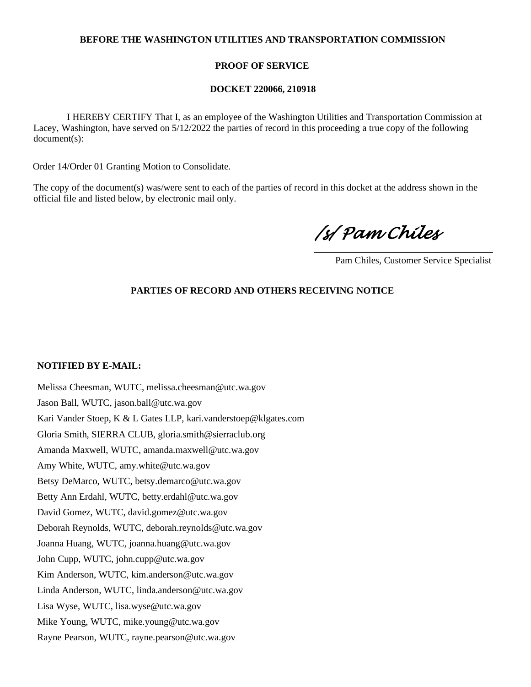## **BEFORE THE WASHINGTON UTILITIES AND TRANSPORTATION COMMISSION**

## **PROOF OF SERVICE**

### **DOCKET 220066, 210918**

 I HEREBY CERTIFY That I, as an employee of the Washington Utilities and Transportation Commission at Lacey, Washington, have served on 5/12/2022 the parties of record in this proceeding a true copy of the following document(s):

Order 14/Order 01 Granting Motion to Consolidate.

The copy of the document(s) was/were sent to each of the parties of record in this docket at the address shown in the official file and listed below, by electronic mail only.

*/s/ Pam Chiles* 

Pam Chiles, Customer Service Specialist

# **PARTIES OF RECORD AND OTHERS RECEIVING NOTICE**

#### **NOTIFIED BY E-MAIL:**

Melissa Cheesman, WUTC, melissa.cheesman@utc.wa.gov Jason Ball, WUTC, jason.ball@utc.wa.gov Kari Vander Stoep, K & L Gates LLP, kari.vanderstoep@klgates.com Gloria Smith, SIERRA CLUB, gloria.smith@sierraclub.org Amanda Maxwell, WUTC, amanda.maxwell@utc.wa.gov Amy White, WUTC, amy.white@utc.wa.gov Betsy DeMarco, WUTC, betsy.demarco@utc.wa.gov Betty Ann Erdahl, WUTC, betty.erdahl@utc.wa.gov David Gomez, WUTC, david.gomez@utc.wa.gov Deborah Reynolds, WUTC, deborah.reynolds@utc.wa.gov Joanna Huang, WUTC, joanna.huang@utc.wa.gov John Cupp, WUTC, john.cupp@utc.wa.gov Kim Anderson, WUTC, kim.anderson@utc.wa.gov Linda Anderson, WUTC, linda.anderson@utc.wa.gov Lisa Wyse, WUTC, lisa.wyse@utc.wa.gov Mike Young, WUTC, mike.young@utc.wa.gov Rayne Pearson, WUTC, rayne.pearson@utc.wa.gov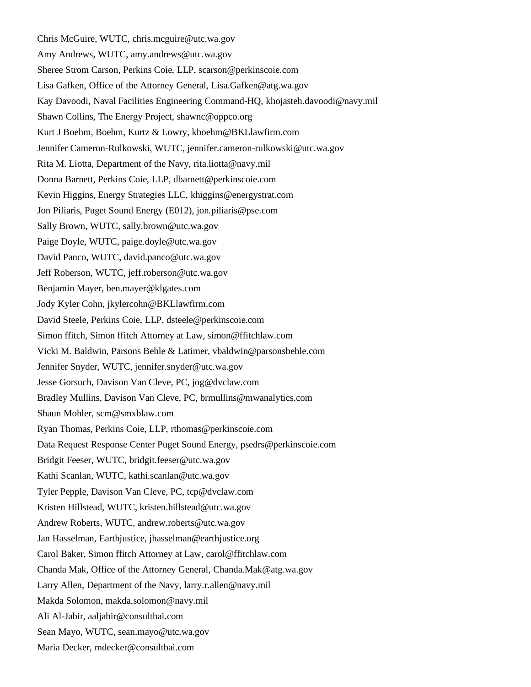Chris McGuire, WUTC, chris.mcguire@utc.wa.gov Amy Andrews, WUTC, amy.andrews@utc.wa.gov Sheree Strom Carson, Perkins Coie, LLP, scarson@perkinscoie.com Lisa Gafken, Office of the Attorney General, Lisa.Gafken@atg.wa.gov Kay Davoodi, Naval Facilities Engineering Command-HQ, khojasteh.davoodi@navy.mil Shawn Collins, The Energy Project, shawnc@oppco.org Kurt J Boehm, Boehm, Kurtz & Lowry, kboehm@BKLlawfirm.com Jennifer Cameron-Rulkowski, WUTC, jennifer.cameron-rulkowski@utc.wa.gov Rita M. Liotta, Department of the Navy, rita.liotta@navy.mil Donna Barnett, Perkins Coie, LLP, dbarnett@perkinscoie.com Kevin Higgins, Energy Strategies LLC, khiggins@energystrat.com Jon Piliaris, Puget Sound Energy (E012), jon.piliaris@pse.com Sally Brown, WUTC, sally.brown@utc.wa.gov Paige Doyle, WUTC, paige.doyle@utc.wa.gov David Panco, WUTC, david.panco@utc.wa.gov Jeff Roberson, WUTC, jeff.roberson@utc.wa.gov Benjamin Mayer, ben.mayer@klgates.com Jody Kyler Cohn, jkylercohn@BKLlawfirm.com David Steele, Perkins Coie, LLP, dsteele@perkinscoie.com Simon ffitch, Simon ffitch Attorney at Law, simon@ffitchlaw.com Vicki M. Baldwin, Parsons Behle & Latimer, vbaldwin@parsonsbehle.com Jennifer Snyder, WUTC, jennifer.snyder@utc.wa.gov Jesse Gorsuch, Davison Van Cleve, PC, jog@dvclaw.com Bradley Mullins, Davison Van Cleve, PC, brmullins@mwanalytics.com Shaun Mohler, scm@smxblaw.com Ryan Thomas, Perkins Coie, LLP, rthomas@perkinscoie.com Data Request Response Center Puget Sound Energy, psedrs@perkinscoie.com Bridgit Feeser, WUTC, bridgit.feeser@utc.wa.gov Kathi Scanlan, WUTC, kathi.scanlan@utc.wa.gov Tyler Pepple, Davison Van Cleve, PC, tcp@dvclaw.com Kristen Hillstead, WUTC, kristen.hillstead@utc.wa.gov Andrew Roberts, WUTC, andrew.roberts@utc.wa.gov Jan Hasselman, Earthjustice, jhasselman@earthjustice.org Carol Baker, Simon ffitch Attorney at Law, carol@ffitchlaw.com Chanda Mak, Office of the Attorney General, Chanda.Mak@atg.wa.gov Larry Allen, Department of the Navy, larry.r.allen@navy.mil Makda Solomon, makda.solomon@navy.mil Ali Al-Jabir, aaljabir@consultbai.com Sean Mayo, WUTC, sean.mayo@utc.wa.gov Maria Decker, mdecker@consultbai.com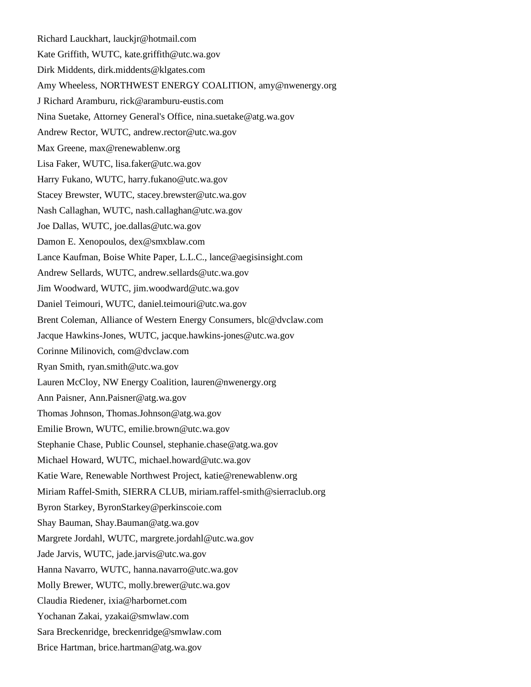Richard Lauckhart, lauckjr@hotmail.com Kate Griffith, WUTC, kate.griffith@utc.wa.gov Dirk Middents, dirk.middents@klgates.com Amy Wheeless, NORTHWEST ENERGY COALITION, amy@nwenergy.org J Richard Aramburu, rick@aramburu-eustis.com Nina Suetake, Attorney General's Office, nina.suetake@atg.wa.gov Andrew Rector, WUTC, andrew.rector@utc.wa.gov Max Greene, max@renewablenw.org Lisa Faker, WUTC, lisa.faker@utc.wa.gov Harry Fukano, WUTC, harry.fukano@utc.wa.gov Stacey Brewster, WUTC, stacey.brewster@utc.wa.gov Nash Callaghan, WUTC, nash.callaghan@utc.wa.gov Joe Dallas, WUTC, joe.dallas@utc.wa.gov Damon E. Xenopoulos, dex@smxblaw.com Lance Kaufman, Boise White Paper, L.L.C., lance@aegisinsight.com Andrew Sellards, WUTC, andrew.sellards@utc.wa.gov Jim Woodward, WUTC, jim.woodward@utc.wa.gov Daniel Teimouri, WUTC, daniel.teimouri@utc.wa.gov Brent Coleman, Alliance of Western Energy Consumers, blc@dvclaw.com Jacque Hawkins-Jones, WUTC, jacque.hawkins-jones@utc.wa.gov Corinne Milinovich, com@dvclaw.com Ryan Smith, ryan.smith@utc.wa.gov Lauren McCloy, NW Energy Coalition, lauren@nwenergy.org Ann Paisner, Ann.Paisner@atg.wa.gov Thomas Johnson, Thomas.Johnson@atg.wa.gov Emilie Brown, WUTC, emilie.brown@utc.wa.gov Stephanie Chase, Public Counsel, stephanie.chase@atg.wa.gov Michael Howard, WUTC, michael.howard@utc.wa.gov Katie Ware, Renewable Northwest Project, katie@renewablenw.org Miriam Raffel-Smith, SIERRA CLUB, miriam.raffel-smith@sierraclub.org Byron Starkey, ByronStarkey@perkinscoie.com Shay Bauman, Shay.Bauman@atg.wa.gov Margrete Jordahl, WUTC, margrete.jordahl@utc.wa.gov Jade Jarvis, WUTC, jade.jarvis@utc.wa.gov Hanna Navarro, WUTC, hanna.navarro@utc.wa.gov Molly Brewer, WUTC, molly.brewer@utc.wa.gov Claudia Riedener, ixia@harbornet.com Yochanan Zakai, yzakai@smwlaw.com Sara Breckenridge, breckenridge@smwlaw.com Brice Hartman, brice.hartman@atg.wa.gov